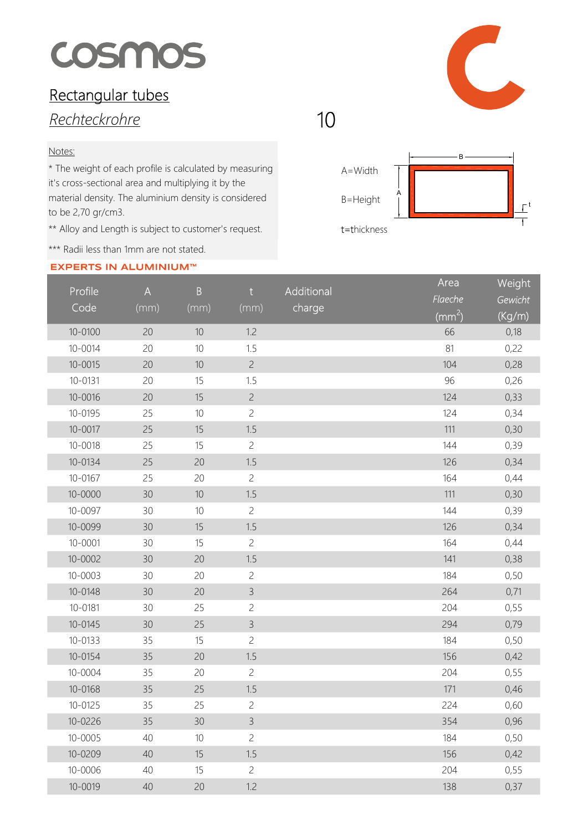# cosmos

## Rectangular tubes

## Rechteckrohre

### Notes:

\* The weight of each profile is calculated by measuring it's cross-sectional area and multiplying it by the material density. The aluminium density is considered to be 2,70 gr/cm3.

\*\* Alloy and Length is subject to customer's request.

\*\*\* Radii less than 1mm are not stated.

### **EXPERTS IN ALUMINIUM™**





| Profile<br>Code | $\overline{A}$<br>(mm) | $\, {\bf B}$<br>(mm) | t<br>(mm)      | Additional<br>charge | Area<br>Flaeche | Weight<br>Gewicht |
|-----------------|------------------------|----------------------|----------------|----------------------|-----------------|-------------------|
|                 |                        |                      |                |                      | $\rm (mm^2)$    | (Kg/m)            |
| $10 - 0100$     | 20                     | 10                   | 1.2            |                      | 66              | 0,18              |
| $10 - 0014$     | 20                     | 10                   | 1.5            |                      | 81              | 0,22              |
| $10 - 0015$     | 20                     | 10                   | $\overline{c}$ |                      | 104             | 0,28              |
| $10 - 0131$     | 20                     | 15                   | 1.5            |                      | 96              | 0,26              |
| $10 - 0016$     | 20                     | 15                   | $\overline{c}$ |                      | 124             | 0,33              |
| 10-0195         | 25                     | 10                   | $\overline{c}$ |                      | 124             | 0,34              |
| $10 - 0017$     | 25                     | 15                   | 1.5            |                      | 111             | 0,30              |
| $10 - 0018$     | 25                     | 15                   | $\overline{c}$ |                      | 144             | 0,39              |
| 10-0134         | 25                     | 20                   | 1.5            |                      | 126             | 0,34              |
| 10-0167         | 25                     | 20                   | $\overline{c}$ |                      | 164             | 0,44              |
| $10 - 0000$     | 30                     | 10                   | 1.5            |                      | 111             | 0,30              |
| 10-0097         | 30                     | 10                   | $\overline{c}$ |                      | 144             | 0,39              |
| 10-0099         | 30                     | 15                   | 1.5            |                      | 126             | 0,34              |
| $10 - 0001$     | 30                     | 15                   | $\overline{c}$ |                      | 164             | 0,44              |
| $10 - 0002$     | 30                     | 20                   | 1.5            |                      | 141             | 0,38              |
| $10 - 0003$     | 30                     | 20                   | $\overline{c}$ |                      | 184             | 0,50              |
| 10-0148         | 30                     | 20                   | $\mathcal{E}$  |                      | 264             | 0,71              |
| 10-0181         | 30                     | 25                   | $\overline{c}$ |                      | 204             | 0,55              |
| $10 - 0145$     | 30                     | 25                   | $\mathcal{E}$  |                      | 294             | 0,79              |
| $10 - 0133$     | 35                     | 15                   | $\overline{c}$ |                      | 184             | 0,50              |
| 10-0154         | 35                     | 20                   | 1.5            |                      | 156             | 0,42              |
| 10-0004         | 35                     | 20                   | $\overline{c}$ |                      | 204             | 0,55              |
| 10-0168         | 35                     | 25                   | 1.5            |                      | 171             | 0,46              |
| $10 - 0125$     | 35                     | 25                   | $\overline{c}$ |                      | 224             | 0,60              |
| 10-0226         | 35                     | 30                   | $\mathcal{E}$  |                      | 354             | 0,96              |
| $10 - 0005$     | 40                     | 10                   | $\overline{c}$ |                      | 184             | 0,50              |
| 10-0209         | 40                     | 15                   | 1.5            |                      | 156             | 0,42              |
| 10-0006         | 40                     | 15                   | $\overline{c}$ |                      | 204             | 0,55              |
| $10 - 0019$     | $40\,$                 | 20                   | 1.2            |                      | 138             | 0,37              |

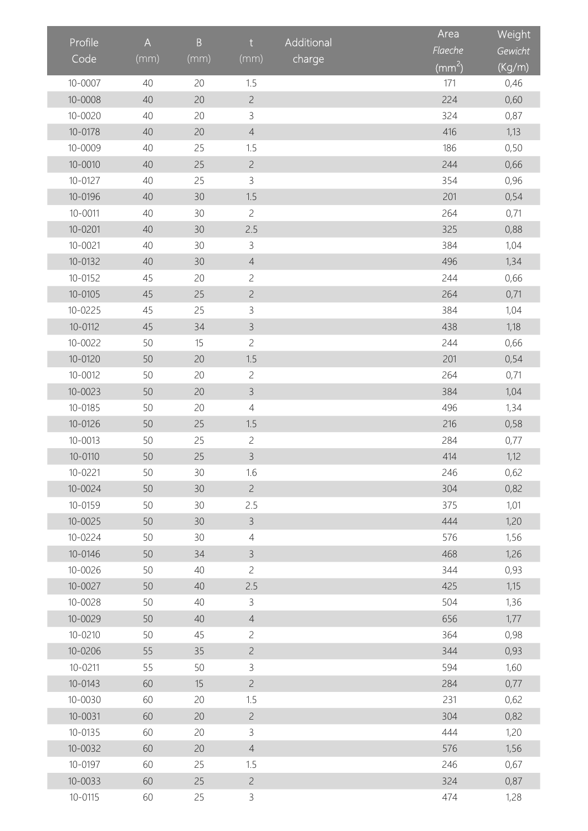|             |                | $\, {\bf B}$ |                |            | Area            | Weight  |
|-------------|----------------|--------------|----------------|------------|-----------------|---------|
| Profile     | $\overline{A}$ |              | t.             | Additional | Flaeche         | Gewicht |
| Code        | (mm)           | (mm)         | (mm)           | charge     | $\text{mm}^2$ ) | (Kg/m)  |
| $10 - 0007$ | 40             | 20           | 1.5            |            | 171             | 0,46    |
| $10 - 0008$ | 40             | 20           | $\overline{c}$ |            | 224             | 0,60    |
| $10 - 0020$ | 40             | 20           | 3              |            | 324             | 0,87    |
| 10-0178     | 40             | 20           | $\overline{4}$ |            | 416             | 1,13    |
| $10 - 0009$ | 40             | 25           | 1.5            |            | 186             | 0,50    |
| $10 - 0010$ | 40             | 25           | $\overline{c}$ |            | 244             | 0,66    |
| 10-0127     | 40             | 25           | 3              |            | 354             | 0,96    |
| 10-0196     | 40             | 30           | 1.5            |            | 201             | 0,54    |
| $10 - 0011$ | 40             | 30           | $\overline{c}$ |            | 264             | 0,71    |
| $10 - 0201$ | 40             | 30           | 2.5            |            | 325             | 0,88    |
| $10 - 0021$ | 40             | 30           | 3              |            | 384             | 1,04    |
| 10-0132     | 40             | 30           | $\overline{4}$ |            | 496             | 1,34    |
| 10-0152     | 45             | 20           | $\overline{c}$ |            | 244             | 0,66    |
| 10-0105     | 45             | 25           | $\overline{c}$ |            | 264             | 0,71    |
| $10 - 0225$ | 45             | 25           | 3              |            | 384             | 1,04    |
| 10-0112     | 45             | 34           | $\mathsf{3}$   |            | 438             | 1,18    |
| $10 - 0022$ | 50             | 15           | $\overline{c}$ |            | 244             | 0,66    |
| 10-0120     | 50             | 20           | 1.5            |            | 201             | 0,54    |
| 10-0012     | 50             | 20           | $\overline{c}$ |            | 264             | 0,71    |
| 10-0023     | 50             | 20           | $\mathsf{3}$   |            | 384             | 1,04    |
| 10-0185     | 50             | 20           | $\overline{4}$ |            | 496             | 1,34    |
| 10-0126     | 50             | 25           | 1.5            |            | 216             | 0,58    |
| $10 - 0013$ | 50             | 25           | $\overline{c}$ |            | 284             | 0,77    |
| 10-0110     | 50             | 25           | $\mathsf{B}$   |            | 414             | 1,12    |
| 10-0221     | 50             | 30           | 1.6            |            | 246             | 0,62    |
| $10 - 0024$ | 50             | 30           | $\overline{c}$ |            | 304             | 0,82    |
| 10-0159     | 50             | 30           | 2.5            |            | 375             | 1,01    |
| $10 - 0025$ | 50             | 30           | $\mathsf{3}$   |            | 444             | 1,20    |
| 10-0224     | 50             | 30           | $\overline{4}$ |            | 576             | 1,56    |
| 10-0146     | 50             | 34           | $\mathsf{3}$   |            | 468             | 1,26    |
| 10-0026     | 50             | 40           | $\overline{c}$ |            | 344             | 0,93    |
| $10 - 0027$ | 50             | 40           | 2.5            |            | 425             | 1,15    |
| $10 - 0028$ | 50             | 40           | $\mathcal{E}$  |            | 504             | 1,36    |
| $10 - 0029$ | 50             | 40           | $\overline{4}$ |            | 656             | 1,77    |
| 10-0210     | 50             | 45           | $\overline{c}$ |            | 364             | 0,98    |
| 10-0206     | 55             | 35           | $\overline{c}$ |            | 344             | 0,93    |
| 10-0211     | 55             | 50           | $\mathsf{3}$   |            | 594             | 1,60    |
| 10-0143     | 60             | 15           | $\overline{c}$ |            | 284             | 0,77    |
| 10-0030     | 60             | 20           | 1.5            |            | 231             | 0,62    |
| 10-0031     | 60             | 20           | $\overline{c}$ |            | 304             | 0,82    |
| 10-0135     | 60             | 20           | $\mathsf{3}$   |            | 444             | 1,20    |
| 10-0032     | 60             | 20           | $\overline{4}$ |            | 576             | 1,56    |
| 10-0197     | 60             | 25           | 1.5            |            | 246             | 0,67    |
| $10 - 0033$ | 60             | 25           | $\overline{c}$ |            | 324             | 0,87    |
| $10 - 0115$ | 60             | 25           | $\mathsf{3}$   |            | 474             | 1,28    |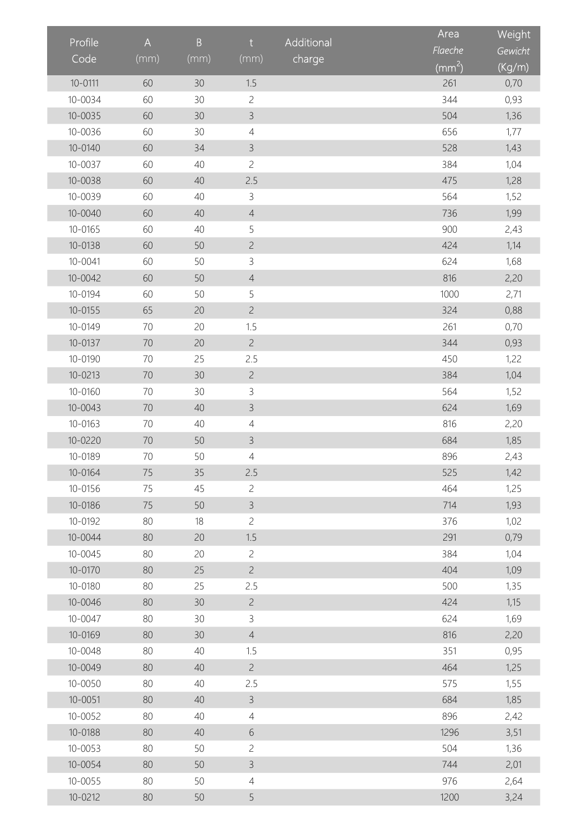|             |                |              |                |            | Area         | Weight  |
|-------------|----------------|--------------|----------------|------------|--------------|---------|
| Profile     | $\overline{A}$ | $\, {\bf B}$ | t              | Additional | Flaeche      | Gewicht |
| Code        | (mm)           | (mm)         | (mm)           | charge     | $\rm (mm^2)$ | (Kg/m)  |
| $10 - 0111$ | 60             | 30           | 1.5            |            | 261          | 0,70    |
| 10-0034     | 60             | 30           | $\overline{c}$ |            | 344          | 0,93    |
| $10 - 0035$ | 60             | 30           | $\mathsf 3$    |            | 504          | 1,36    |
| 10-0036     | 60             | 30           | $\overline{4}$ |            | 656          | 1,77    |
| $10 - 0140$ | 60             | 34           | $\mathsf{3}$   |            | 528          | 1,43    |
| 10-0037     | 60             | 40           | $\overline{c}$ |            | 384          | 1,04    |
| 10-0038     | 60             | 40           | 2.5            |            | 475          | 1,28    |
| 10-0039     | 60             | 40           | $\mathsf 3$    |            | 564          | 1,52    |
| 10-0040     | 60             | 40           | $\overline{4}$ |            | 736          | 1,99    |
| 10-0165     | 60             | 40           | 5              |            | 900          | 2,43    |
| 10-0138     | 60             | 50           | $\overline{c}$ |            | 424          | 1,14    |
| $10 - 0041$ | 60             | 50           | $\mathsf 3$    |            | 624          | 1,68    |
| $10 - 0042$ | 60             | 50           | $\sqrt{4}$     |            | 816          | 2,20    |
| 10-0194     | 60             | 50           | 5              |            | 1000         | 2,71    |
| $10 - 0155$ | 65             | 20           | $\overline{c}$ |            | 324          | 0,88    |
| 10-0149     | 70             | 20           | 1.5            |            | 261          | 0,70    |
| 10-0137     | 70             | 20           | $\overline{c}$ |            | 344          | 0,93    |
| 10-0190     | 70             | 25           | 2.5            |            | 450          | 1,22    |
| $10 - 0213$ | 70             | 30           | $\overline{c}$ |            | 384          | 1,04    |
| 10-0160     | 70             | 30           | $\mathsf 3$    |            | 564          | 1,52    |
| $10 - 0043$ | 70             | 40           | $\mathcal{E}$  |            | 624          | 1,69    |
| 10-0163     | 70             | 40           | $\overline{4}$ |            | 816          | 2,20    |
| 10-0220     | 70             | 50           | $\mathsf 3$    |            | 684          | 1,85    |
| 10-0189     | 70             | 50           | 4              |            | 896          | 2,43    |
| 10-0164     | 75             | 35           | 2.5            |            | 525          | 1,42    |
| 10-0156     | 75             | 45           | $\overline{2}$ |            | 464          | 1,25    |
| 10-0186     | 75             | 50           | $\overline{3}$ |            | 714          | 1,93    |
| 10-0192     | 80             | 18           | $\overline{c}$ |            | 376          | 1,02    |
| $10 - 0044$ | 80             | 20           | 1.5            |            | 291          | 0,79    |
| $10 - 0045$ | 80             | 20           | $\overline{c}$ |            | 384          | 1,04    |
| 10-0170     | 80             | 25           | $\overline{c}$ |            | 404          | 1,09    |
| 10-0180     | 80             | 25           | 2.5            |            | 500          | 1,35    |
| 10-0046     | 80             | 30           | $\overline{c}$ |            | 424          | 1,15    |
| 10-0047     | 80             | 30           | 3              |            | 624          | 1,69    |
| 10-0169     | 80             | 30           | $\overline{4}$ |            | 816          | 2,20    |
| 10-0048     | 80             | 40           | 1.5            |            | 351          | 0,95    |
| 10-0049     | 80             | 40           | $\overline{2}$ |            | 464          | 1,25    |
| $10 - 0050$ | 80             | 40           | 2.5            |            | 575          | 1,55    |
| $10 - 0051$ | 80             | 40           | $\overline{3}$ |            | 684          | 1,85    |
| $10 - 0052$ | 80             | 40           | $\overline{4}$ |            | 896          | 2,42    |
| 10-0188     | 80             | 40           | 6              |            | 1296         | 3,51    |
| $10 - 0053$ | 80             | 50           | $\overline{c}$ |            | 504          | 1,36    |
| $10 - 0054$ | 80             | 50           | $\overline{3}$ |            | 744          | 2,01    |
| $10 - 0055$ | 80             | 50           | $\overline{4}$ |            | 976          | 2,64    |
| 10-0212     | 80             | 50           | 5              |            | 1200         | 3,24    |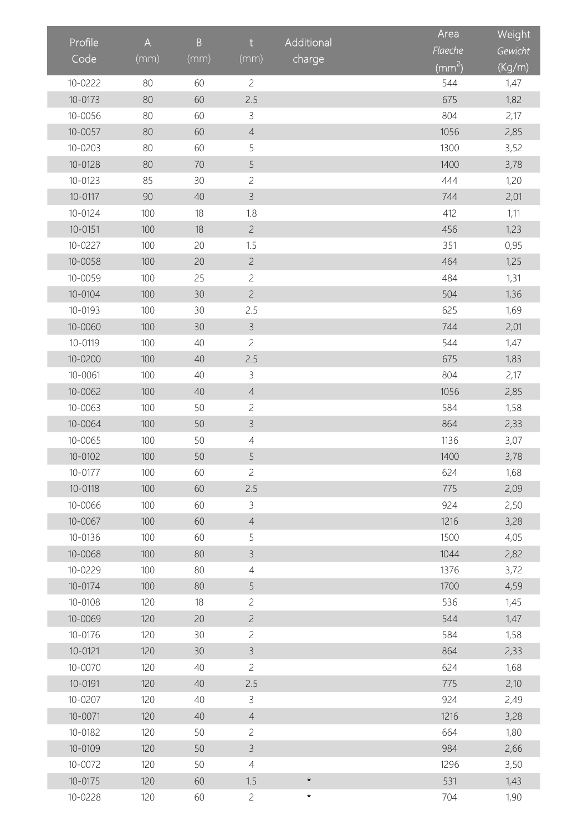|             |                |                 |                |            | Area         | Weight  |
|-------------|----------------|-----------------|----------------|------------|--------------|---------|
| Profile     | $\overline{A}$ | $\, {\bf B}$    | t              | Additional | Flaeche      | Gewicht |
| Code        | (mm)           | (mm)            | (mm)           | charge     | $\rm (mm^2)$ | (Kg/m)  |
| 10-0222     | 80             | 60              | $\overline{c}$ |            | 544          | 1,47    |
| $10 - 0173$ | 80             | 60              | 2.5            |            | 675          | 1,82    |
| 10-0056     | 80             | 60              | 3              |            | 804          | 2,17    |
| $10 - 0057$ | 80             | 60              | $\overline{4}$ |            | 1056         | 2,85    |
| $10 - 0203$ | 80             | 60              | 5              |            | 1300         | 3,52    |
| 10-0128     | 80             | 70              | 5              |            | 1400         | 3,78    |
| $10 - 0123$ | 85             | 30              | $\overline{c}$ |            | 444          | 1,20    |
| 10-0117     | 90             | 40              | $\overline{3}$ |            | 744          | 2,01    |
| 10-0124     | 100            | 18              | 1.8            |            | 412          | 1,11    |
| $10 - 0151$ | 100            | 18              | $\overline{c}$ |            | 456          | 1,23    |
| 10-0227     | 100            | 20              | 1.5            |            | 351          | 0,95    |
| $10 - 0058$ | 100            | 20              | $\overline{c}$ |            | 464          | 1,25    |
| $10 - 0059$ | 100            | 25              | $\overline{c}$ |            | 484          | 1,31    |
| 10-0104     | 100            | 30              | $\overline{c}$ |            | 504          | 1,36    |
| 10-0193     | 100            | 30              | 2.5            |            | 625          | 1,69    |
| 10-0060     | 100            | 30              | $\overline{3}$ |            | 744          | 2,01    |
| 10-0119     | 100            | 40              | $\overline{c}$ |            | 544          | 1,47    |
| $10 - 0200$ | 100            | 40              | 2.5            |            | 675          | 1,83    |
| 10-0061     | 100            | 40              | 3              |            | 804          | 2,17    |
| 10-0062     | 100            | 40              | $\overline{4}$ |            | 1056         | 2,85    |
| $10 - 0063$ | 100            | 50              | $\overline{c}$ |            | 584          | 1,58    |
| 10-0064     | 100            | 50              | $\mathsf{B}$   |            | 864          | 2,33    |
| $10 - 0065$ | 100            | 50              | $\overline{4}$ |            | 1136         | 3,07    |
| 10-0102     | 100            | 50              | 5              |            | 1400         | 3,78    |
| 10-0177     | 100            | 60              | $\overline{c}$ |            | 624          | 1,68    |
| 10-0118     | 100            | 60              | 2.5            |            | 775          | 2,09    |
| 10-0066     | 100            | 60              | $\mathsf{3}$   |            | 924          | 2,50    |
| 10-0067     | 100            | 60              | $\overline{4}$ |            | 1216         | 3,28    |
| 10-0136     | 100            | 60              | 5              |            | 1500         | 4,05    |
| 10-0068     | 100            | 80              | $\mathsf{3}$   |            | 1044         | 2,82    |
| 10-0229     | 100            | 80              | $\overline{4}$ |            | 1376         | 3,72    |
| 10-0174     | 100            | 80              | 5              |            | 1700         | 4,59    |
| 10-0108     | 120            | 18              | $\overline{c}$ |            | 536          | 1,45    |
| 10-0069     | 120            | 20              | $\overline{c}$ |            | 544          | 1,47    |
| 10-0176     | 120            | 30 <sup>°</sup> | $\overline{c}$ |            | 584          | 1,58    |
| $10 - 0121$ | 120            | 30              | $\mathsf{3}$   |            | 864          | 2,33    |
| 10-0070     | 120            | 40              | $\overline{c}$ |            | 624          | 1,68    |
| 10-0191     | 120            | 40              | 2.5            |            | 775          | 2,10    |
| 10-0207     | 120            | 40              | $\overline{3}$ |            | 924          | 2,49    |
| $10 - 0071$ | 120            | 40              | $\overline{4}$ |            | 1216         | 3,28    |
| 10-0182     | 120            | 50              | $\overline{c}$ |            | 664          | 1,80    |
| 10-0109     | 120            | 50              | 3              |            | 984          | 2,66    |
| 10-0072     | 120            | 50              | $\overline{4}$ |            | 1296         | 3,50    |
| $10 - 0175$ | 120            | 60              | 1.5            | $\star$    | 531          | 1,43    |
| 10-0228     | 120            | 60              | $\overline{c}$ | $\star$    | 704          | 1,90    |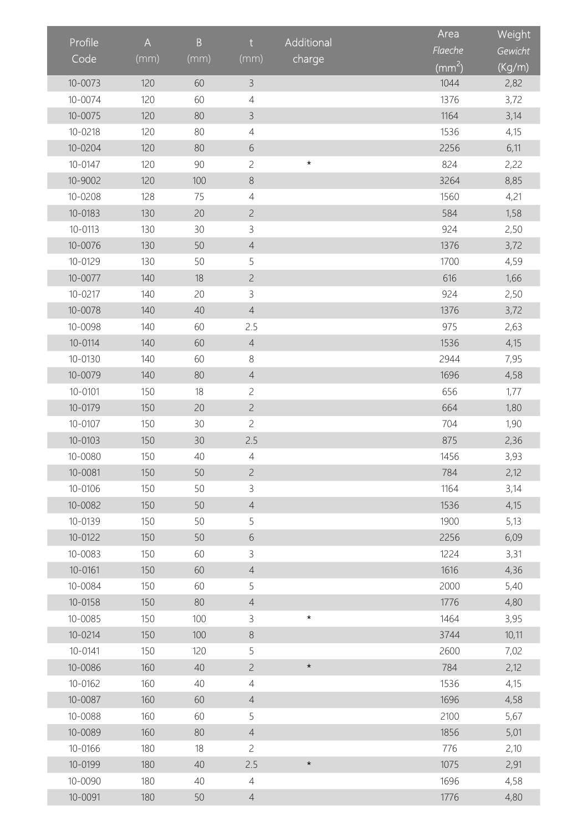|             |      | $\, {\bf B}$ | t              | Additional | Area               | Weight  |
|-------------|------|--------------|----------------|------------|--------------------|---------|
| Profile     | A    |              |                |            | Flaeche            | Gewicht |
| Code        | (mm) | (mm)         | (mm)           | charge     | (mm <sup>2</sup> ) | (Kg/m)  |
| $10 - 0073$ | 120  | 60           | $\mathsf 3$    |            | 1044               | 2,82    |
| 10-0074     | 120  | 60           | 4              |            | 1376               | 3,72    |
| $10 - 0075$ | 120  | 80           | $\overline{3}$ |            | 1164               | 3,14    |
| 10-0218     | 120  | 80           | $\overline{4}$ |            | 1536               | 4,15    |
| 10-0204     | 120  | 80           | 6              |            | 2256               | 6,11    |
| 10-0147     | 120  | 90           | $\overline{c}$ | $\star$    | 824                | 2,22    |
| 10-9002     | 120  | 100          | 8              |            | 3264               | 8,85    |
| $10 - 0208$ | 128  | 75           | $\overline{4}$ |            | 1560               | 4,21    |
| 10-0183     | 130  | 20           | $\overline{c}$ |            | 584                | 1,58    |
| 10-0113     | 130  | 30           | 3              |            | 924                | 2,50    |
| 10-0076     | 130  | 50           | $\sqrt{4}$     |            | 1376               | 3,72    |
| 10-0129     | 130  | 50           | 5              |            | 1700               | 4,59    |
| $10 - 0077$ | 140  | 18           | $\overline{c}$ |            | 616                | 1,66    |
| 10-0217     | 140  | 20           | 3              |            | 924                | 2,50    |
| $10 - 0078$ | 140  | 40           | $\sqrt{4}$     |            | 1376               | 3,72    |
| 10-0098     | 140  | 60           | 2.5            |            | 975                | 2,63    |
| 10-0114     | 140  | 60           | $\overline{4}$ |            | 1536               | 4,15    |
| 10-0130     | 140  | 60           | 8              |            | 2944               | 7,95    |
| 10-0079     | 140  | 80           | $\sqrt{4}$     |            | 1696               | 4,58    |
| 10-0101     | 150  | 18           | $\overline{c}$ |            | 656                | 1,77    |
| 10-0179     | 150  | 20           | $\overline{c}$ |            | 664                | 1,80    |
| 10-0107     | 150  | 30           | $\overline{c}$ |            | 704                | 1,90    |
| 10-0103     | 150  | 30           | 2.5            |            | 875                | 2,36    |
| 10-0080     | 150  | 40           | $\overline{4}$ |            | 1456               | 3,93    |
| 10-0081     | 150  | 50           | $\overline{c}$ |            | 784                | 2,12    |
| 10-0106     | 150  | 50           | $\mathsf{3}$   |            | 1164               | 3,14    |
| 10-0082     | 150  | 50           | $\overline{4}$ |            | 1536               | 4,15    |
| 10-0139     | 150  | 50           | 5              |            | 1900               | 5,13    |
| 10-0122     | 150  | 50           | 6              |            | 2256               | 6,09    |
| 10-0083     | 150  | 60           | 3              |            | 1224               | 3,31    |
| 10-0161     | 150  | 60           | $\overline{4}$ |            | 1616               | 4,36    |
| 10-0084     | 150  | 60           | 5              |            | 2000               | 5,40    |
| 10-0158     | 150  | 80           | $\overline{4}$ |            | 1776               | 4,80    |
| 10-0085     | 150  | 100          | 3              | $\star$    | 1464               | 3,95    |
| 10-0214     | 150  | 100          | $\,8\,$        |            | 3744               | 10,11   |
| 10-0141     | 150  | 120          | 5              |            | 2600               | 7,02    |
| 10-0086     | 160  | 40           | $\overline{c}$ | $\star$    | 784                | 2,12    |
| 10-0162     | 160  | 40           | $\overline{4}$ |            | 1536               | 4,15    |
| 10-0087     | 160  | 60           | $\overline{4}$ |            | 1696               | 4,58    |
| 10-0088     | 160  | 60           | 5              |            | 2100               | 5,67    |
| 10-0089     | 160  | 80           | $\overline{4}$ |            | 1856               | 5,01    |
| 10-0166     | 180  | 18           | $\overline{c}$ |            | 776                | 2,10    |
| 10-0199     | 180  | 40           | 2.5            | $\star$    | 1075               | 2,91    |
| 10-0090     | 180  | 40           | $\overline{4}$ |            | 1696               | 4,58    |
| 10-0091     | 180  | 50           | $\overline{4}$ |            | 1776               | 4,80    |